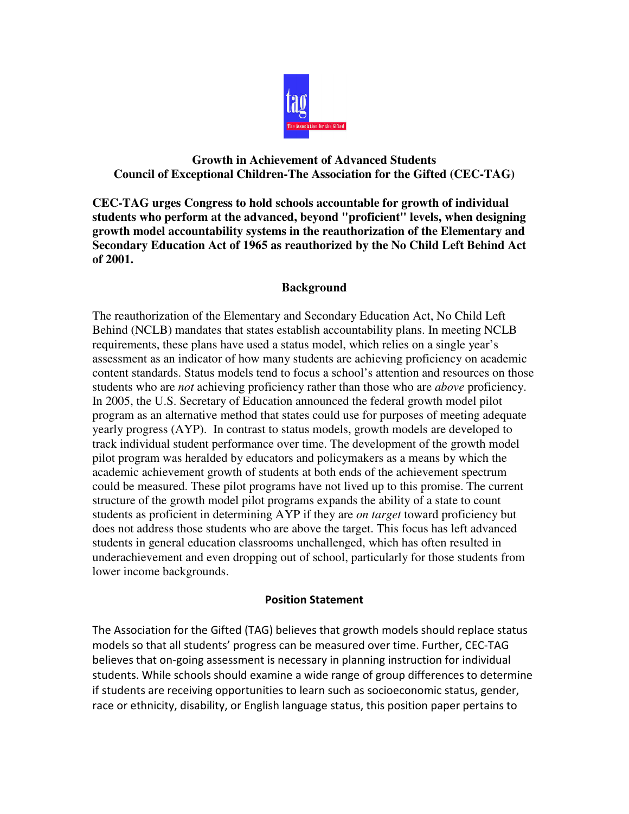

# **Growth in Achievement of Advanced Students Council of Exceptional Children-The Association for the Gifted (CEC-TAG)**

**CEC-TAG urges Congress to hold schools accountable for growth of individual students who perform at the advanced, beyond "proficient" levels, when designing growth model accountability systems in the reauthorization of the Elementary and Secondary Education Act of 1965 as reauthorized by the No Child Left Behind Act of 2001.** 

## **Background**

The reauthorization of the Elementary and Secondary Education Act, No Child Left Behind (NCLB) mandates that states establish accountability plans. In meeting NCLB requirements, these plans have used a status model, which relies on a single year's assessment as an indicator of how many students are achieving proficiency on academic content standards. Status models tend to focus a school's attention and resources on those students who are *not* achieving proficiency rather than those who are *above* proficiency. In 2005, the U.S. Secretary of Education announced the federal growth model pilot program as an alternative method that states could use for purposes of meeting adequate yearly progress (AYP). In contrast to status models, growth models are developed to track individual student performance over time. The development of the growth model pilot program was heralded by educators and policymakers as a means by which the academic achievement growth of students at both ends of the achievement spectrum could be measured. These pilot programs have not lived up to this promise. The current structure of the growth model pilot programs expands the ability of a state to count students as proficient in determining AYP if they are *on target* toward proficiency but does not address those students who are above the target. This focus has left advanced students in general education classrooms unchallenged, which has often resulted in underachievement and even dropping out of school, particularly for those students from lower income backgrounds.

## **Position Statement**

The Association for the Gifted (TAG) believes that growth models should replace status models so that all students' progress can be measured over time. Further, CEC-TAG believes that on-going assessment is necessary in planning instruction for individual students. While schools should examine a wide range of group differences to determine if students are receiving opportunities to learn such as socioeconomic status, gender, race or ethnicity, disability, or English language status, this position paper pertains to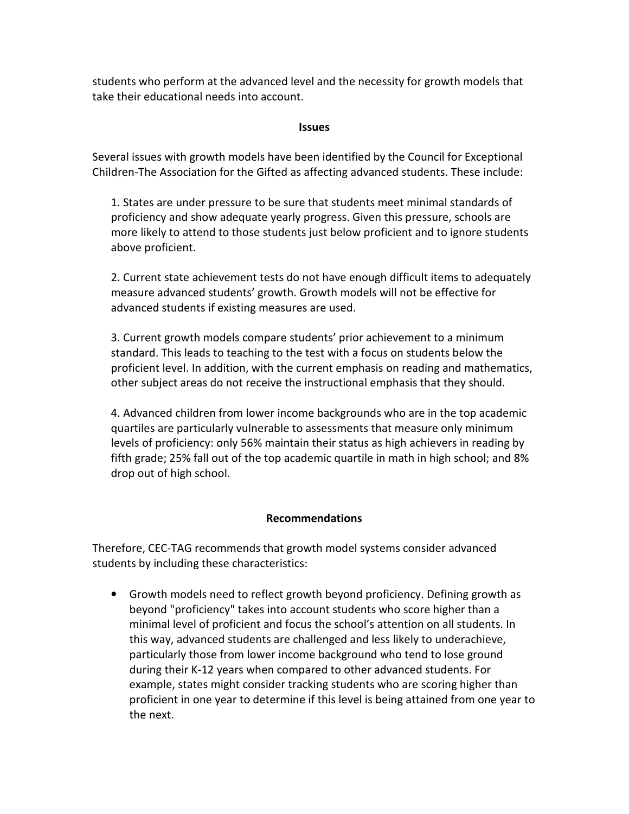students who perform at the advanced level and the necessity for growth models that take their educational needs into account.

#### **Issues**

Several issues with growth models have been identified by the Council for Exceptional Children-The Association for the Gifted as affecting advanced students. These include:

1. States are under pressure to be sure that students meet minimal standards of proficiency and show adequate yearly progress. Given this pressure, schools are more likely to attend to those students just below proficient and to ignore students above proficient.

2. Current state achievement tests do not have enough difficult items to adequately measure advanced students' growth. Growth models will not be effective for advanced students if existing measures are used.

3. Current growth models compare students' prior achievement to a minimum standard. This leads to teaching to the test with a focus on students below the proficient level. In addition, with the current emphasis on reading and mathematics, other subject areas do not receive the instructional emphasis that they should.

4. Advanced children from lower income backgrounds who are in the top academic quartiles are particularly vulnerable to assessments that measure only minimum levels of proficiency: only 56% maintain their status as high achievers in reading by fifth grade; 25% fall out of the top academic quartile in math in high school; and 8% drop out of high school.

## **Recommendations**

Therefore, CEC-TAG recommends that growth model systems consider advanced students by including these characteristics:

• Growth models need to reflect growth beyond proficiency. Defining growth as beyond "proficiency" takes into account students who score higher than a minimal level of proficient and focus the school's attention on all students. In this way, advanced students are challenged and less likely to underachieve, particularly those from lower income background who tend to lose ground during their K-12 years when compared to other advanced students. For example, states might consider tracking students who are scoring higher than proficient in one year to determine if this level is being attained from one year to the next.